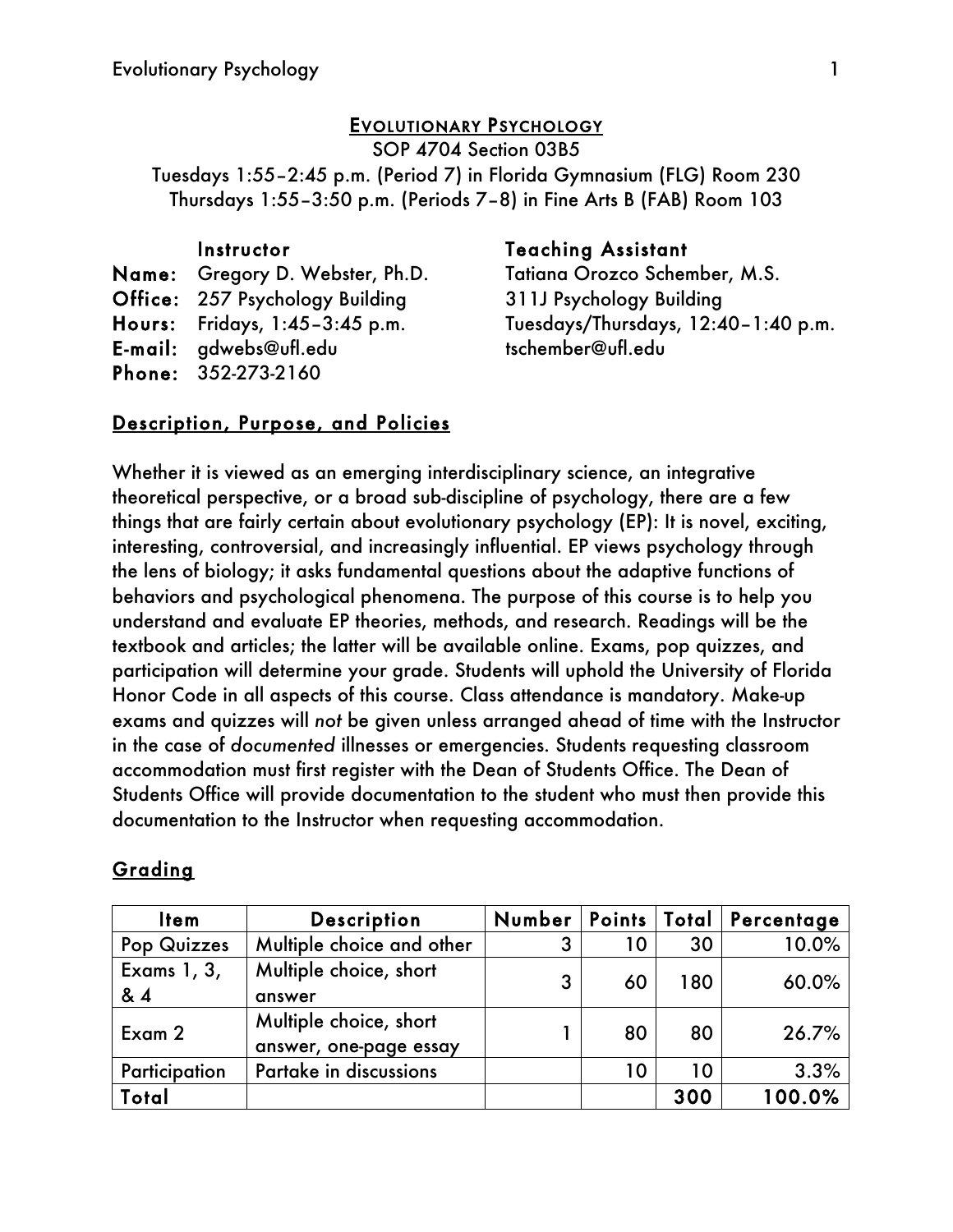## EVOLUTIONARY PSYCHOLOGY

SOP 4704 Section 03B5

Tuesdays 1:55–2:45 p.m. (Period 7) in Florida Gymnasium (FLG) Room 230 Thursdays 1:55–3:50 p.m. (Periods 7–8) in Fine Arts B (FAB) Room 103

Name: Gregory D. Webster, Ph.D. Office: 257 Psychology Building Hours: Fridays, 1:45–3:45 p.m. E-mail: gdwebs@ufl.edu Phone: 352-273-2160

## Instructor Teaching Assistant

Tatiana Orozco Schember, M.S. 311J Psychology Building Tuesdays/Thursdays, 12:40–1:40 p.m. tschember@ufl.edu

## Description, Purpose, and Policies

Whether it is viewed as an emerging interdisciplinary science, an integrative theoretical perspective, or a broad sub-discipline of psychology, there are a few things that are fairly certain about evolutionary psychology (EP): It is novel, exciting, interesting, controversial, and increasingly influential. EP views psychology through the lens of biology; it asks fundamental questions about the adaptive functions of behaviors and psychological phenomena. The purpose of this course is to help you understand and evaluate EP theories, methods, and research. Readings will be the textbook and articles; the latter will be available online. Exams, pop quizzes, and participation will determine your grade. Students will uphold the University of Florida Honor Code in all aspects of this course. Class attendance is mandatory. Make-up exams and quizzes will *not* be given unless arranged ahead of time with the Instructor in the case of *documented* illnesses or emergencies. Students requesting classroom accommodation must first register with the Dean of Students Office. The Dean of Students Office will provide documentation to the student who must then provide this documentation to the Instructor when requesting accommodation.

# **Grading**

| <b>Item</b>       | <b>Description</b>                               | Number |    |     | Points   Total   Percentage |
|-------------------|--------------------------------------------------|--------|----|-----|-----------------------------|
| Pop Quizzes       | Multiple choice and other                        | 3      | 10 | 30  | 10.0%                       |
| Exams 1, 3,<br>&4 | Multiple choice, short<br>answer                 | 3      | 60 | 180 | 60.0%                       |
| Exam 2            | Multiple choice, short<br>answer, one-page essay |        | 80 | 80  | 26.7%                       |
| Participation     | Partake in discussions                           |        | 10 | 10  | 3.3%                        |
| Total             |                                                  |        |    | 300 | 100.0%                      |